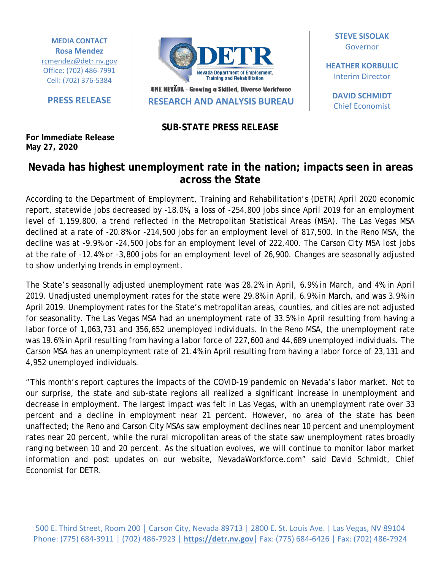**MEDIA CONTACT Rosa Mendez** [rcmendez@detr.nv.gov](mailto:rcmendez@detr.nv.gov) Office: (702) 486-7991 Cell: (702) 376-5384

**For Immediate Release May 27, 2020**



ONE NEVADA - Growing a Skilled, Diverse Workforce **PRESS RELEASE RESEARCH AND ANALYSIS BUREAU**

**SUB-STATE PRESS RELEASE**

**STEVE SISOLAK** Governor

**HEATHER KORBULIC** Interim Director

**DAVID SCHMIDT** Chief Economist

## **Nevada has highest unemployment rate in the nation; impacts seen in areas across the State**

According to the Department of Employment, Training and Rehabilitation's (DETR) April 2020 economic report, statewide jobs decreased by -18.0%, a loss of -254,800 jobs since April 2019 for an employment level of 1,159,800, a trend reflected in the Metropolitan Statistical Areas (MSA). The Las Vegas MSA declined at a rate of -20.8% or -214,500 jobs for an employment level of 817,500. In the Reno MSA, the decline was at -9.9% or -24,500 jobs for an employment level of 222,400. The Carson City MSA lost jobs at the rate of -12.4% or -3,800 jobs for an employment level of 26,900. Changes are seasonally adjusted to show underlying trends in employment.

The State's seasonally adjusted unemployment rate was 28.2% in April, 6.9% in March, and 4% in April 2019. Unadjusted unemployment rates for the state were 29.8% in April, 6.9% in March, and was 3.9% in April 2019. Unemployment rates for the State's metropolitan areas, counties, and cities are not adjusted for seasonality. The Las Vegas MSA had an unemployment rate of 33.5% in April resulting from having a labor force of 1,063,731 and 356,652 unemployed individuals. In the Reno MSA, the unemployment rate was 19.6% in April resulting from having a labor force of 227,600 and 44,689 unemployed individuals. The Carson MSA has an unemployment rate of 21.4% in April resulting from having a labor force of 23,131 and 4,952 unemployed individuals.

"This month's report captures the impacts of the COVID-19 pandemic on Nevada's labor market. Not to our surprise, the state and sub-state regions all realized a significant increase in unemployment and decrease in employment. The largest impact was felt in Las Vegas, with an unemployment rate over 33 percent and a decline in employment near 21 percent. However, no area of the state has been unaffected; the Reno and Carson City MSAs saw employment declines near 10 percent and unemployment rates near 20 percent, while the rural micropolitan areas of the state saw unemployment rates broadly ranging between 10 and 20 percent. As the situation evolves, we will continue to monitor labor market information and post updates on our website, NevadaWorkforce.com" said David Schmidt, Chief Economist for DETR.